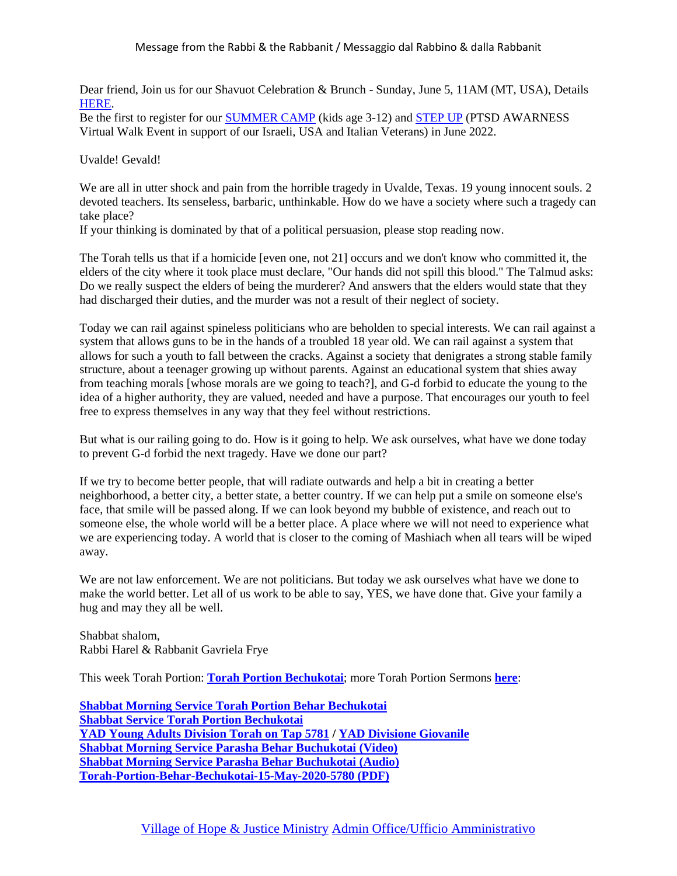Dear friend, Join us for our Shavuot Celebration & Brunch - Sunday, June 5, 11AM (MT, USA), Details [HERE.](mailto:vohjm2013@gmail.com)

Be the first to register for our [SUMMER CAMP](mailto:hedermalvaitalia@gmail.com) (kids age 3-12) and [STEP UP](mailto:contact@machasehsheltikvah.org) (PTSD AWARNESS Virtual Walk Event in support of our Israeli, USA and Italian Veterans) in June 2022.

Uvalde! Gevald!

We are all in utter shock and pain from the horrible tragedy in Uvalde, Texas. 19 young innocent souls. 2 devoted teachers. Its senseless, barbaric, unthinkable. How do we have a society where such a tragedy can take place?

If your thinking is dominated by that of a political persuasion, please stop reading now.

The Torah tells us that if a homicide [even one, not 21] occurs and we don't know who committed it, the elders of the city where it took place must declare, "Our hands did not spill this blood." The Talmud asks: Do we really suspect the elders of being the murderer? And answers that the elders would state that they had discharged their duties, and the murder was not a result of their neglect of society.

Today we can rail against spineless politicians who are beholden to special interests. We can rail against a system that allows guns to be in the hands of a troubled 18 year old. We can rail against a system that allows for such a youth to fall between the cracks. Against a society that denigrates a strong stable family structure, about a teenager growing up without parents. Against an educational system that shies away from teaching morals [whose morals are we going to teach?], and G-d forbid to educate the young to the idea of a higher authority, they are valued, needed and have a purpose. That encourages our youth to feel free to express themselves in any way that they feel without restrictions.

But what is our railing going to do. How is it going to help. We ask ourselves, what have we done today to prevent G-d forbid the next tragedy. Have we done our part?

If we try to become better people, that will radiate outwards and help a bit in creating a better neighborhood, a better city, a better state, a better country. If we can help put a smile on someone else's face, that smile will be passed along. If we can look beyond my bubble of existence, and reach out to someone else, the whole world will be a better place. A place where we will not need to experience what we are experiencing today. A world that is closer to the coming of Mashiach when all tears will be wiped away.

We are not law enforcement. We are not politicians. But today we ask ourselves what have we done to make the world better. Let all of us work to be able to say, YES, we have done that. Give your family a hug and may they all be well.

Shabbat shalom, Rabbi Harel & Rabbanit Gavriela Frye

This week Torah Portion: **[Torah Portion Bechukotai](https://villageofhopejusticeministry.org/2019/07/14/torah-portion-bechukotai-porzione-di-torah-bechukotai/)**; more Torah Portion Sermons **[here](https://villageofhopejusticeministry.org/sermoni-sermons/)**:

**[Shabbat Morning Service Torah Portion Behar Bechukotai](https://youtu.be/hE9s3iFGKA0) [Shabbat Service Torah Portion Bechukotai](https://youtu.be/S9AqiB5e0Ss) [YAD Young Adults Division Torah on Tap 5781](https://villageofhopejusticeministry.files.wordpress.com/2021/01/yad-torah-on-tap-english-and-tora-alla-spina-italian.pdf) / [YAD Divisione Giovanile](https://villageofhopejusticeministry.files.wordpress.com/2021/01/yad-torah-on-tap-english-and-tora-alla-spina-italian.pdf) [Shabbat Morning Service Parasha Behar Buchukotai \(Video\)](https://youtu.be/hE9s3iFGKA0) [Shabbat Morning Service Parasha Behar Buchukotai \(Audio\)](https://soundcloud.com/user-114005263/shabbat-morning-service-torah-portion-behar-bechukotai) [Torah-Portion-Behar-Bechukotai-15-May-2020-5780 \(PDF\)](https://villageofhopejusticeministry.files.wordpress.com/2020/05/torah-portion-behar-bechukotai-15-may-2020-5780.pdf)**